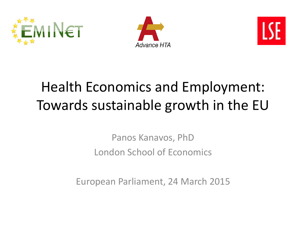





# Health Economics and Employment: Towards sustainable growth in the EU

Panos Kanavos, PhD London School of Economics

European Parliament, 24 March 2015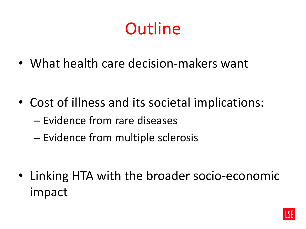# **Outline**

• What health care decision-makers want

- Cost of illness and its societal implications:
	- Evidence from rare diseases
	- Evidence from multiple sclerosis

• Linking HTA with the broader socio-economic impact

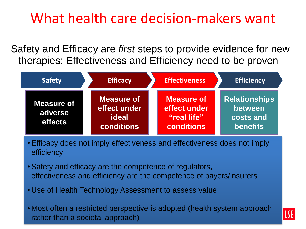### What health care decision-makers want

Safety and Efficacy are *first* steps to provide evidence for new therapies; Effectiveness and Efficiency need to be proven

| <b>Safety</b>                           | <b>Efficacy</b>                                                 | <b>Effectiveness</b>                                           | <b>Efficiency</b>                                               |
|-----------------------------------------|-----------------------------------------------------------------|----------------------------------------------------------------|-----------------------------------------------------------------|
| <b>Measure of</b><br>adverse<br>effects | <b>Measure of</b><br>effect under<br>ideal<br><b>conditions</b> | Measure of<br>effect under<br>"real life"<br><b>conditions</b> | <b>Relationships</b><br>between<br>costs and<br><b>benefits</b> |

- Efficacy does not imply effectiveness and effectiveness does not imply efficiency
- Safety and efficacy are the competence of regulators, effectiveness and efficiency are the competence of payers/insurers
- Use of Health Technology Assessment to assess value
- Most often a restricted perspective is adopted (health system approach rather than a societal approach)

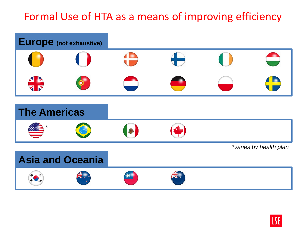#### Formal Use of HTA as a means of improving efficiency



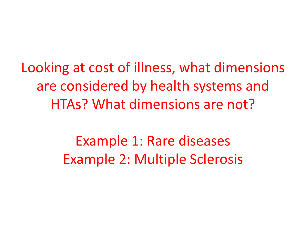Looking at cost of illness, what dimensions are considered by health systems and HTAs? What dimensions are not?

> Example 1: Rare diseases Example 2: Multiple Sclerosis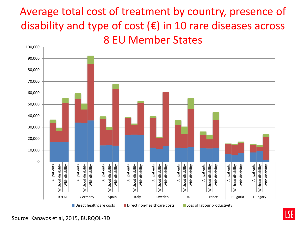#### Average total cost of treatment by country, presence of disability and type of cost  $(\epsilon)$  in 10 rare diseases across 8 EU Member States



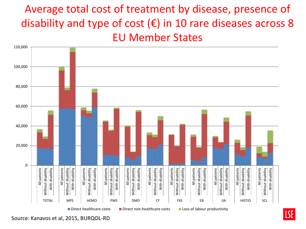#### Average total cost of treatment by disease, presence of disability and type of cost  $(\epsilon)$  in 10 rare diseases across 8 EU Member States



Source: Kanavos et al, 2015, BURQOL-RD

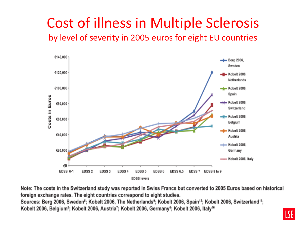#### Cost of illness in Multiple Sclerosis by level of severity in 2005 euros for eight EU countries



Note: The costs in the Switzerland study was reported in Swiss Francs but converted to 2005 Euros based on historical foreign exchange rates. The eight countries correspond to eight studies. Sources: Berg 2006, Sweden<sup>5</sup>; Kobelt 2006, The Netherlands<sup>9</sup>; Kobelt 2006, Spain<sup>12</sup>; Kobelt 2006, Switzerland<sup>11</sup>; Kobelt 2006, Belgium<sup>8</sup>; Kobelt 2006, Austria<sup>7</sup>; Kobelt 2006, Germany<sup>6</sup>; Kobelt 2006, Italy<sup>10</sup>

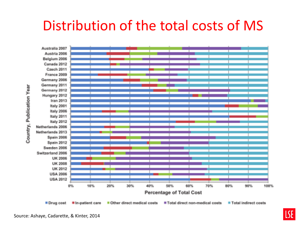### Distribution of the total costs of MS



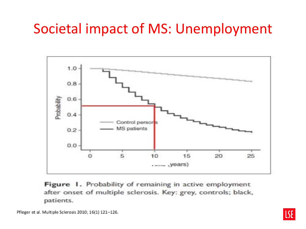### Societal impact of MS: Unemployment



Figure 1. Probability of remaining in active employment after onset of multiple sclerosis. Key: grey, controls; black, patients.

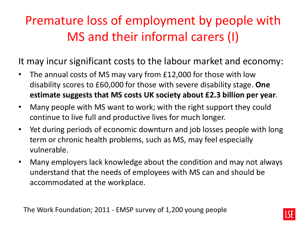### Premature loss of employment by people with MS and their informal carers (I)

It may incur significant costs to the labour market and economy:

- The annual costs of MS may vary from £12,000 for those with low disability scores to £60,000 for those with severe disability stage. **One estimate suggests that MS costs UK society about £2.3 billion per year**.
- Many people with MS want to work; with the right support they could continue to live full and productive lives for much longer.
- Yet during periods of economic downturn and job losses people with long term or chronic health problems, such as MS, may feel especially vulnerable.
- Many employers lack knowledge about the condition and may not always understand that the needs of employees with MS can and should be accommodated at the workplace.

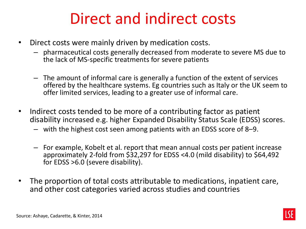## Direct and indirect costs

- Direct costs were mainly driven by medication costs.
	- pharmaceutical costs generally decreased from moderate to severe MS due to the lack of MS-specific treatments for severe patients
	- The amount of informal care is generally a function of the extent of services offered by the healthcare systems. Eg countries such as Italy or the UK seem to offer limited services, leading to a greater use of informal care.
- Indirect costs tended to be more of a contributing factor as patient disability increased e.g. higher Expanded Disability Status Scale (EDSS) scores.
	- with the highest cost seen among patients with an EDSS score of 8–9.
	- For example, Kobelt et al. report that mean annual costs per patient increase approximately 2-fold from \$32,297 for EDSS <4.0 (mild disability) to \$64,492 for EDSS >6.0 (severe disability).
- The proportion of total costs attributable to medications, inpatient care, and other cost categories varied across studies and countries